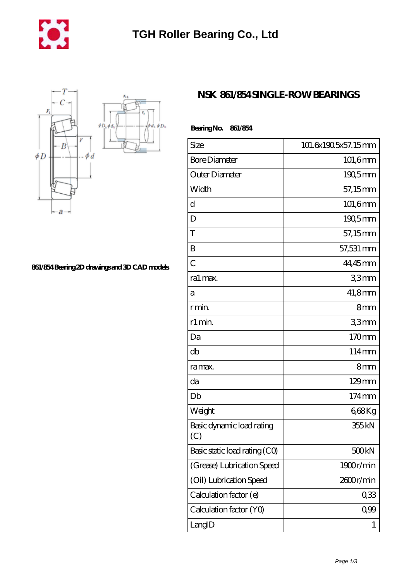



**[861/854 Bearing 2D drawings and 3D CAD models](https://m.mywebsitenews.com/pic-13485.html)**

## **[NSK 861/854 SINGLE-ROW BEARINGS](https://m.mywebsitenews.com/at-13485-nsk-861-854-single-row-bearings.html)**

| BearingNo.<br>861/854            |                     |
|----------------------------------|---------------------|
| Size                             | 101.6x190.5x57.15mm |
| <b>Bore Diameter</b>             | 101,6mm             |
| Outer Diameter                   | $190,5$ mm          |
| Width                            | 57,15mm             |
| d                                | 101,6mm             |
| D                                | $190,5$ mm          |
| T                                | 57,15mm             |
| B                                | 57,531 mm           |
| $\overline{C}$                   | 44,45mm             |
| ra1 max.                         | 33mm                |
| а                                | 41,8mm              |
| r min.                           | 8mm                 |
| r1 min.                          | 33mm                |
| Da                               | 170mm               |
| db                               | 114mm               |
| ra max.                          | 8mm                 |
| da                               | 129mm               |
| Db                               | 174mm               |
| Weight                           | 668Kg               |
| Basic dynamic load rating<br>(C) | 355 kN              |
| Basic static load rating (CO)    | 500kN               |
| (Grease) Lubrication Speed       | 1900r/min           |
| (Oil) Lubrication Speed          | 2600r/min           |
| Calculation factor (e)           | 0,33                |
| Calculation factor (YO)          | $0\%$               |
| LangID                           | 1                   |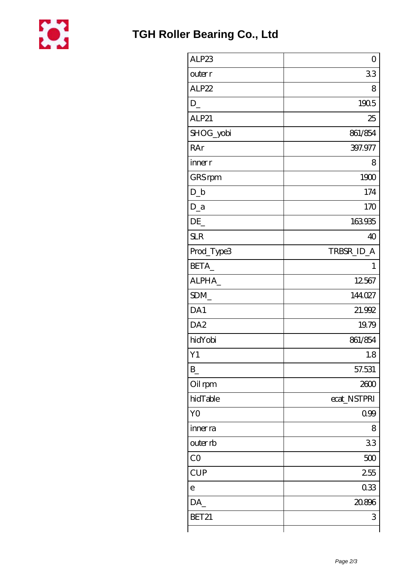

| ALP23           | $\overline{O}$ |
|-----------------|----------------|
| outer r         | 33             |
| ALP22           | 8              |
| D               | 1905           |
| ALP21           | 25             |
| SHOG_yobi       | 861/854        |
| RAr             | 397.977        |
| inner r         | 8              |
| GRS rpm         | 1900           |
| $D_b$           | 174            |
| $D_a$           | 170            |
| DE              | 163935         |
| <b>SLR</b>      | 40             |
| Prod_Type3      | TRBSR_ID_A     |
| BETA            | 1              |
| ALPHA           | 12567          |
| SDM_            | 144027         |
| DA1             | 21.992         |
| DA <sub>2</sub> | 19.79          |
| hidYobi         | 861/854        |
| Y1              | 1.8            |
| $B_{-}$         | 57.531         |
| Oil rpm         | 2600           |
| hidTable        | ecat_NSTPRI    |
| Y <sub>O</sub>  | 0.99           |
| inner ra        | 8              |
| outer rb        | 33             |
| CO              | 500            |
| <b>CUP</b>      | 255            |
| $\mathsf{e}$    | 033            |
| DA              | 20.896         |
| BET21           | 3              |
|                 |                |